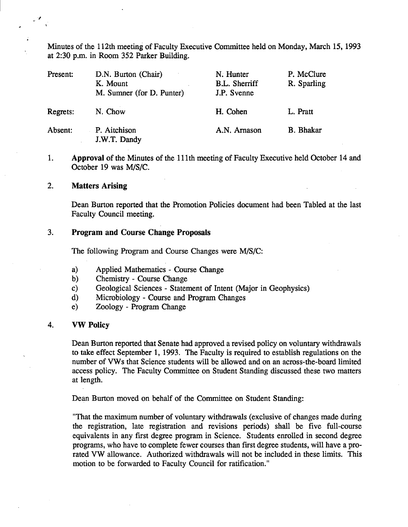Minutes of the 112th meeting of Faculty Executive Committee held on Monday, March *15,* 1993 at 2:30 p.m. in Room *352* Parker Building.

| Present: | D.N. Burton (Chair)<br>K. Mount<br>M. Sumner (for D. Punter) | N. Hunter<br><b>B.L.</b> Sherriff<br>J.P. Svenne | P. McClure<br>R. Sparling |
|----------|--------------------------------------------------------------|--------------------------------------------------|---------------------------|
| Regrets: | N. Chow                                                      | H. Cohen                                         | L. Pratt                  |
| Absent:  | P. Aitchison<br>J.W.T. Dandy                                 | A.N. Arnason                                     | <b>B.</b> Bhakar          |

1. **Approval** of the Minutes of the 111th meeting of Faculty Executive held October 14 and October 19 was M/S/C.

#### $2.$ **Matters Arising**

Dean Burton reported that the Promotion Policies document had been Tabled at the last Faculty Council meeting.

# **3. Program and Course Change Proposals**

The following Program and Course Changes were *WS/C:* 

- Applied Mathematics Course Change  $a)$
- Chemistry Course Change  $b)$
- Geological Sciences Statement of Intent (Major in Geophysics)  $c)$
- Microbiology Course and Program Changes  $\mathbf{d}$
- Zoology Program Change  $e)$

### 4. **VW Policy**

Dean Burton reported that Senate had approved a revised policy on voluntary withdrawals to take effect September 1, 1993. The Faculty is required to establish regulations on the number of VWs that Science students will be allowed and on an across-the-board limited access policy. The Faculty Committee on Student Standing discussed these two matters at length.

Dean Burton moved on behalf of the Committee on Student Standing:

"That the maximum number of voluntary withdrawals (exclusive of changes made during the registration, late registration and revisions periods) shall be five full-course equivalents in any first degree program in Science. Students enrolled in second degree programs, who have to complete fewer courses than first degree students, will have a prorated VW allowance. Authorized withdrawals will not be included in these limits. This motion to be forwarded to Faculty Council for ratification."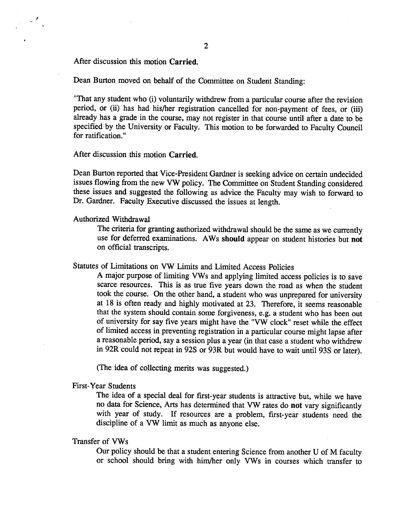2

After discussion this motion **Carried.** 

Dean Burton moved on behalf of the Committee on Student Standing:

"That any student who (i) voluntarily withdrew from a particular course after the revision period, or (ii) has had his/her registration cancelled for non-payment of fees, or (iii) already has a grade in the course, may not register in that course until after a date to be specified by the University or Faculty. This motion to be forwarded to Faculty Council for ratification."

After discussion this motion **Carried.** 

Dean Burton reported that Vice-President Gardner is seeking advice on certain undecided issues flowing from the new VW policy. The Committee on Student Standing considered these issues and suggested the following as advice the Faculty may wish to forward to Dr. Gardner. Faculty Executive discussed the issues at length.

Authorized Withdrawal

The criteria for granting authorized withdrawal should be the same as we currently use for deferred examinations. AWs **should** appear on student histories but **not**  on official transcripts.

Statutes of Limitations on VWLimits and Limited Access Policies

A major purpose of limiting YWs and applying limited access policies is to save scarce resources. This is as true five years down the road as when the student took the course. On the other hand, a student who was unprepared for university at 18 is often ready and highly motivated at 23. Therefore, it seems reasonable that the system should contain some forgiveness, e.g. a student who has been out of university for say five years might have the "YW clock" reset while the effect of limited access in preventing registration in a particular course might lapse after a reasonable period, say a session plus a year (in that case a student who withdrew in 92R could not repeat in 92S or 93R but would have to wait until 93S or later).

(The idea of collecting merits was suggested.)

First-Year Students

The idea of a special deal for first-year students is attractive but, while we have no data for Science, Arts has determined that VW rates do **not** vary significantly with year of study. If resources are a problem, first-year students need the discipline of a VW limit as much as anyone else.

#### Transfer of YWs

Our policy should be that a student entering Science from another U of M faculty or school should bring with him/her only VWs in courses which transfer to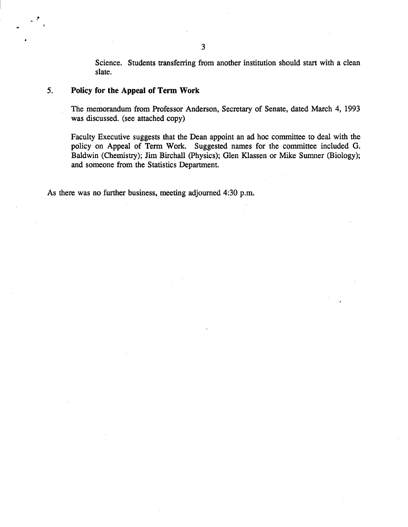Science. Students transferring from another institution should start with a clean slate.

# *5.* **Policy for the Appeal of Term Work**

e

The memorandum from Professor Anderson, Secretary of Senate, dated March 4, 1993 was discussed. (see attached copy)

Faculty Executive suggests that the Dean appoint an ad hoc committee to deal with the policy on Appeal of Term Work. Suggested names for the committee included G. Baldwin (Chemistry); Jim Birchall (Physics); Glen Kiassen or Mike Sumner (Biology); and someone from the Statistics Department.

As there was no further business, meeting adjourned 4:30 p.m.